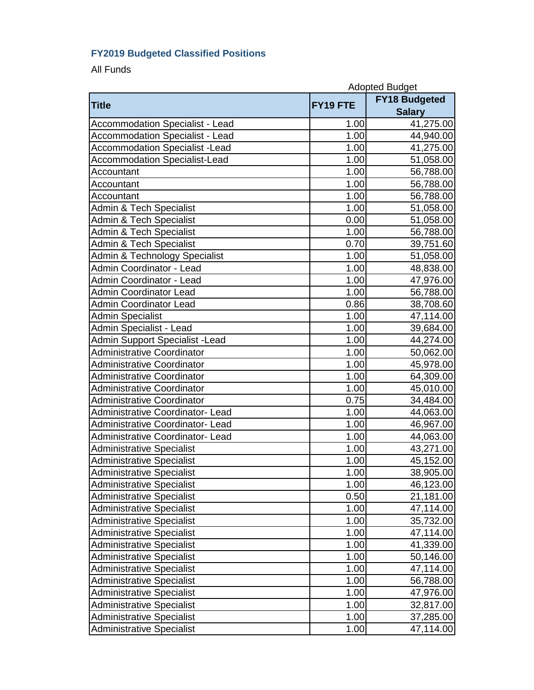## **FY2019 Budgeted Classified Positions**

All Funds

|                                        | <b>Adopted Budget</b> |                      |
|----------------------------------------|-----------------------|----------------------|
| <b>Title</b>                           | FY19 FTE              | <b>FY18 Budgeted</b> |
|                                        |                       | <b>Salary</b>        |
| <b>Accommodation Specialist - Lead</b> | 1.00                  | 41,275.00            |
| <b>Accommodation Specialist - Lead</b> | 1.00                  | 44,940.00            |
| <b>Accommodation Specialist -Lead</b>  | 1.00                  | 41,275.00            |
| <b>Accommodation Specialist-Lead</b>   | 1.00                  | 51,058.00            |
| Accountant                             | 1.00                  | 56,788.00            |
| Accountant                             | 1.00                  | 56,788.00            |
| Accountant                             | 1.00                  | 56,788.00            |
| <b>Admin &amp; Tech Specialist</b>     | 1.00                  | 51,058.00            |
| <b>Admin &amp; Tech Specialist</b>     | 0.00                  | 51,058.00            |
| Admin & Tech Specialist                | 1.00                  | 56,788.00            |
| <b>Admin &amp; Tech Specialist</b>     | 0.70                  | 39,751.60            |
| Admin & Technology Specialist          | 1.00                  | 51,058.00            |
| Admin Coordinator - Lead               | 1.00                  | 48,838.00            |
| Admin Coordinator - Lead               | 1.00                  | 47,976.00            |
| <b>Admin Coordinator Lead</b>          | 1.00                  | 56,788.00            |
| <b>Admin Coordinator Lead</b>          | 0.86                  | 38,708.60            |
| <b>Admin Specialist</b>                | 1.00                  | 47,114.00            |
| Admin Specialist - Lead                | 1.00                  | 39,684.00            |
| Admin Support Specialist - Lead        | 1.00                  | 44,274.00            |
| <b>Administrative Coordinator</b>      | 1.00                  | 50,062.00            |
| <b>Administrative Coordinator</b>      | 1.00                  | 45,978.00            |
| <b>Administrative Coordinator</b>      | 1.00                  | 64,309.00            |
| <b>Administrative Coordinator</b>      | 1.00                  | 45,010.00            |
| <b>Administrative Coordinator</b>      | 0.75                  | 34,484.00            |
| Administrative Coordinator- Lead       | 1.00                  | 44,063.00            |
| Administrative Coordinator- Lead       | 1.00                  | 46,967.00            |
| <b>Administrative Coordinator-Lead</b> | 1.00                  | 44,063.00            |
| <b>Administrative Specialist</b>       | 1.00                  | 43,271.00            |
| <b>Administrative Specialist</b>       | 1.00                  | 45,152.00            |
| <b>Administrative Specialist</b>       | 1.00                  | 38,905.00            |
| <b>Administrative Specialist</b>       | 1.00                  | 46,123.00            |
| <b>Administrative Specialist</b>       | 0.50                  | 21,181.00            |
| <b>Administrative Specialist</b>       | 1.00                  | 47,114.00            |
| <b>Administrative Specialist</b>       | 1.00                  | 35,732.00            |
| <b>Administrative Specialist</b>       | 1.00                  | 47,114.00            |
| <b>Administrative Specialist</b>       | 1.00                  | 41,339.00            |
| <b>Administrative Specialist</b>       | 1.00                  | 50,146.00            |
| <b>Administrative Specialist</b>       | 1.00                  | 47,114.00            |
| <b>Administrative Specialist</b>       | 1.00                  | 56,788.00            |
| <b>Administrative Specialist</b>       | 1.00                  | 47,976.00            |
| <b>Administrative Specialist</b>       | 1.00                  | 32,817.00            |
| <b>Administrative Specialist</b>       | 1.00                  | 37,285.00            |
| <b>Administrative Specialist</b>       | 1.00                  | 47,114.00            |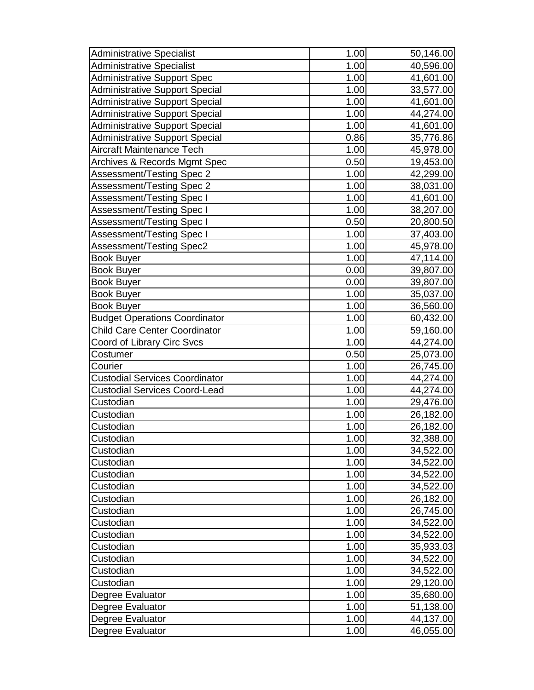| <b>Administrative Specialist</b>      | 1.00 | 50,146.00 |
|---------------------------------------|------|-----------|
| <b>Administrative Specialist</b>      | 1.00 | 40,596.00 |
| <b>Administrative Support Spec</b>    | 1.00 | 41,601.00 |
| <b>Administrative Support Special</b> | 1.00 | 33,577.00 |
| <b>Administrative Support Special</b> | 1.00 | 41,601.00 |
| <b>Administrative Support Special</b> | 1.00 | 44,274.00 |
| <b>Administrative Support Special</b> | 1.00 | 41,601.00 |
| <b>Administrative Support Special</b> | 0.86 | 35,776.86 |
| Aircraft Maintenance Tech             | 1.00 | 45,978.00 |
| Archives & Records Mgmt Spec          | 0.50 | 19,453.00 |
| Assessment/Testing Spec 2             | 1.00 | 42,299.00 |
| Assessment/Testing Spec 2             | 1.00 | 38,031.00 |
| Assessment/Testing Spec I             | 1.00 | 41,601.00 |
| Assessment/Testing Spec I             | 1.00 | 38,207.00 |
| Assessment/Testing Spec I             | 0.50 | 20,800.50 |
| Assessment/Testing Spec I             | 1.00 | 37,403.00 |
| Assessment/Testing Spec2              | 1.00 | 45,978.00 |
| <b>Book Buyer</b>                     | 1.00 | 47,114.00 |
| <b>Book Buyer</b>                     | 0.00 | 39,807.00 |
| <b>Book Buyer</b>                     | 0.00 | 39,807.00 |
| <b>Book Buyer</b>                     | 1.00 | 35,037.00 |
| <b>Book Buyer</b>                     | 1.00 | 36,560.00 |
| <b>Budget Operations Coordinator</b>  | 1.00 | 60,432.00 |
| <b>Child Care Center Coordinator</b>  | 1.00 | 59,160.00 |
| <b>Coord of Library Circ Svcs</b>     | 1.00 | 44,274.00 |
| Costumer                              | 0.50 | 25,073.00 |
| Courier                               | 1.00 | 26,745.00 |
| <b>Custodial Services Coordinator</b> | 1.00 | 44,274.00 |
| <b>Custodial Services Coord-Lead</b>  | 1.00 | 44,274.00 |
| Custodian                             | 1.00 | 29,476.00 |
| Custodian                             | 1.00 | 26,182.00 |
| Custodian                             | 1.00 | 26,182.00 |
| Custodian                             | 1.00 | 32,388.00 |
| Custodian                             | 1.00 | 34,522.00 |
| Custodian                             | 1.00 | 34,522.00 |
| Custodian                             | 1.00 | 34,522.00 |
| Custodian                             | 1.00 | 34,522.00 |
| Custodian                             | 1.00 | 26,182.00 |
| Custodian                             | 1.00 | 26,745.00 |
| Custodian                             | 1.00 | 34,522.00 |
| Custodian                             | 1.00 | 34,522.00 |
| Custodian                             | 1.00 | 35,933.03 |
| Custodian                             | 1.00 | 34,522.00 |
| Custodian                             | 1.00 | 34,522.00 |
| Custodian                             | 1.00 | 29,120.00 |
| Degree Evaluator                      | 1.00 | 35,680.00 |
| Degree Evaluator                      | 1.00 | 51,138.00 |
| Degree Evaluator                      | 1.00 | 44,137.00 |
| Degree Evaluator                      | 1.00 | 46,055.00 |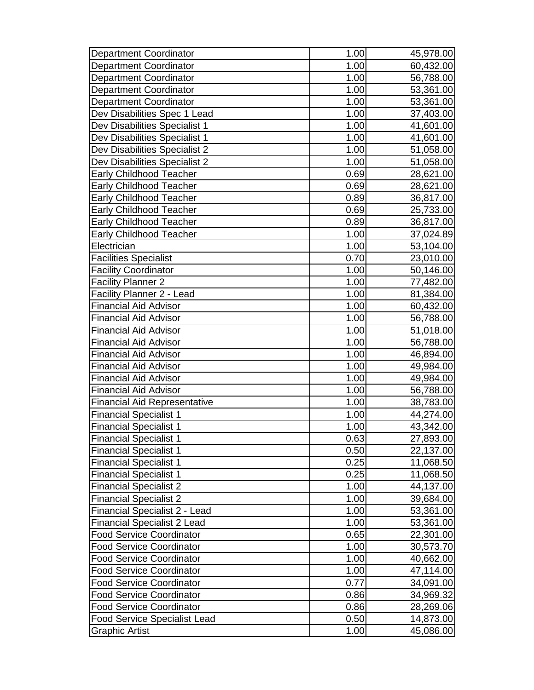| <b>Department Coordinator</b>        | 1.00 | 45,978.00 |
|--------------------------------------|------|-----------|
| <b>Department Coordinator</b>        | 1.00 | 60,432.00 |
| <b>Department Coordinator</b>        | 1.00 | 56,788.00 |
| <b>Department Coordinator</b>        | 1.00 | 53,361.00 |
| <b>Department Coordinator</b>        | 1.00 | 53,361.00 |
| Dev Disabilities Spec 1 Lead         | 1.00 | 37,403.00 |
| Dev Disabilities Specialist 1        | 1.00 | 41,601.00 |
| Dev Disabilities Specialist 1        | 1.00 | 41,601.00 |
| Dev Disabilities Specialist 2        | 1.00 | 51,058.00 |
| Dev Disabilities Specialist 2        | 1.00 | 51,058.00 |
| <b>Early Childhood Teacher</b>       | 0.69 | 28,621.00 |
| Early Childhood Teacher              | 0.69 | 28,621.00 |
| <b>Early Childhood Teacher</b>       | 0.89 | 36,817.00 |
| <b>Early Childhood Teacher</b>       | 0.69 | 25,733.00 |
| <b>Early Childhood Teacher</b>       | 0.89 | 36,817.00 |
| <b>Early Childhood Teacher</b>       | 1.00 | 37,024.89 |
| Electrician                          | 1.00 | 53,104.00 |
| <b>Facilities Specialist</b>         | 0.70 | 23,010.00 |
| <b>Facility Coordinator</b>          | 1.00 | 50,146.00 |
| <b>Facility Planner 2</b>            | 1.00 | 77,482.00 |
| Facility Planner 2 - Lead            | 1.00 | 81,384.00 |
| <b>Financial Aid Advisor</b>         | 1.00 | 60,432.00 |
| <b>Financial Aid Advisor</b>         | 1.00 | 56,788.00 |
| <b>Financial Aid Advisor</b>         | 1.00 | 51,018.00 |
| <b>Financial Aid Advisor</b>         | 1.00 | 56,788.00 |
| <b>Financial Aid Advisor</b>         | 1.00 | 46,894.00 |
| <b>Financial Aid Advisor</b>         | 1.00 | 49,984.00 |
| <b>Financial Aid Advisor</b>         | 1.00 | 49,984.00 |
| <b>Financial Aid Advisor</b>         | 1.00 | 56,788.00 |
| <b>Financial Aid Representative</b>  | 1.00 | 38,783.00 |
| <b>Financial Specialist 1</b>        | 1.00 | 44,274.00 |
| <b>Financial Specialist 1</b>        | 1.00 | 43,342.00 |
| <b>Financial Specialist 1</b>        | 0.63 | 27,893.00 |
| <b>Financial Specialist 1</b>        | 0.50 | 22,137.00 |
| <b>Financial Specialist 1</b>        | 0.25 | 11,068.50 |
| <b>Financial Specialist 1</b>        | 0.25 | 11,068.50 |
| <b>Financial Specialist 2</b>        | 1.00 | 44,137.00 |
| <b>Financial Specialist 2</b>        | 1.00 | 39,684.00 |
| <b>Financial Specialist 2 - Lead</b> | 1.00 | 53,361.00 |
| <b>Financial Specialist 2 Lead</b>   | 1.00 | 53,361.00 |
| <b>Food Service Coordinator</b>      | 0.65 | 22,301.00 |
| <b>Food Service Coordinator</b>      | 1.00 | 30,573.70 |
| <b>Food Service Coordinator</b>      | 1.00 | 40,662.00 |
| <b>Food Service Coordinator</b>      | 1.00 | 47,114.00 |
| <b>Food Service Coordinator</b>      | 0.77 | 34,091.00 |
| <b>Food Service Coordinator</b>      | 0.86 | 34,969.32 |
| <b>Food Service Coordinator</b>      | 0.86 | 28,269.06 |
| <b>Food Service Specialist Lead</b>  | 0.50 | 14,873.00 |
| <b>Graphic Artist</b>                | 1.00 | 45,086.00 |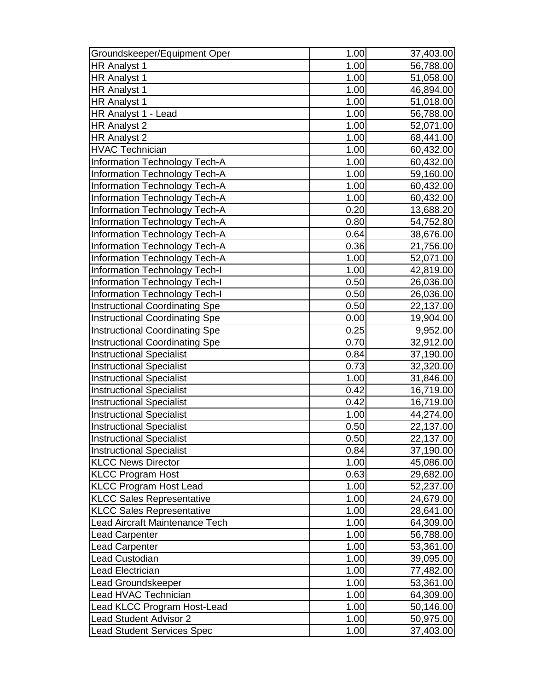| Groundskeeper/Equipment Oper          | 1.00 | 37,403.00 |
|---------------------------------------|------|-----------|
| <b>HR Analyst 1</b>                   | 1.00 | 56,788.00 |
| <b>HR Analyst 1</b>                   | 1.00 | 51,058.00 |
| <b>HR Analyst 1</b>                   | 1.00 | 46,894.00 |
| <b>HR Analyst 1</b>                   | 1.00 | 51,018.00 |
| HR Analyst 1 - Lead                   | 1.00 | 56,788.00 |
| HR Analyst 2                          | 1.00 | 52,071.00 |
| HR Analyst 2                          | 1.00 | 68,441.00 |
| <b>HVAC Technician</b>                | 1.00 | 60,432.00 |
| Information Technology Tech-A         | 1.00 | 60,432.00 |
| <b>Information Technology Tech-A</b>  | 1.00 | 59,160.00 |
| Information Technology Tech-A         | 1.00 | 60,432.00 |
| Information Technology Tech-A         | 1.00 | 60,432.00 |
| <b>Information Technology Tech-A</b>  | 0.20 | 13,688.20 |
| <b>Information Technology Tech-A</b>  | 0.80 | 54,752.80 |
| Information Technology Tech-A         | 0.64 | 38,676.00 |
| Information Technology Tech-A         | 0.36 | 21,756.00 |
| Information Technology Tech-A         | 1.00 | 52,071.00 |
| <b>Information Technology Tech-I</b>  | 1.00 | 42,819.00 |
| Information Technology Tech-I         | 0.50 | 26,036.00 |
| <b>Information Technology Tech-I</b>  | 0.50 | 26,036.00 |
| <b>Instructional Coordinating Spe</b> | 0.50 | 22,137.00 |
| <b>Instructional Coordinating Spe</b> | 0.00 | 19,904.00 |
| <b>Instructional Coordinating Spe</b> | 0.25 | 9,952.00  |
| <b>Instructional Coordinating Spe</b> | 0.70 | 32,912.00 |
| <b>Instructional Specialist</b>       | 0.84 | 37,190.00 |
| <b>Instructional Specialist</b>       | 0.73 | 32,320.00 |
| <b>Instructional Specialist</b>       | 1.00 | 31,846.00 |
| <b>Instructional Specialist</b>       | 0.42 | 16,719.00 |
| <b>Instructional Specialist</b>       | 0.42 | 16,719.00 |
| <b>Instructional Specialist</b>       | 1.00 | 44,274.00 |
| <b>Instructional Specialist</b>       | 0.50 | 22,137.00 |
| <b>Instructional Specialist</b>       | 0.50 | 22,137.00 |
| <b>Instructional Specialist</b>       | 0.84 | 37,190.00 |
| <b>KLCC News Director</b>             | 1.00 | 45,086.00 |
| <b>KLCC Program Host</b>              | 0.63 | 29,682.00 |
| <b>KLCC Program Host Lead</b>         | 1.00 | 52,237.00 |
| <b>KLCC Sales Representative</b>      | 1.00 | 24,679.00 |
| <b>KLCC Sales Representative</b>      | 1.00 | 28,641.00 |
| Lead Aircraft Maintenance Tech        | 1.00 | 64,309.00 |
| Lead Carpenter                        | 1.00 | 56,788.00 |
| Lead Carpenter                        | 1.00 | 53,361.00 |
| Lead Custodian                        | 1.00 | 39,095.00 |
| Lead Electrician                      | 1.00 | 77,482.00 |
| Lead Groundskeeper                    | 1.00 | 53,361.00 |
| Lead HVAC Technician                  | 1.00 | 64,309.00 |
| Lead KLCC Program Host-Lead           | 1.00 | 50,146.00 |
| <b>Lead Student Advisor 2</b>         | 1.00 | 50,975.00 |
| <b>Lead Student Services Spec</b>     | 1.00 | 37,403.00 |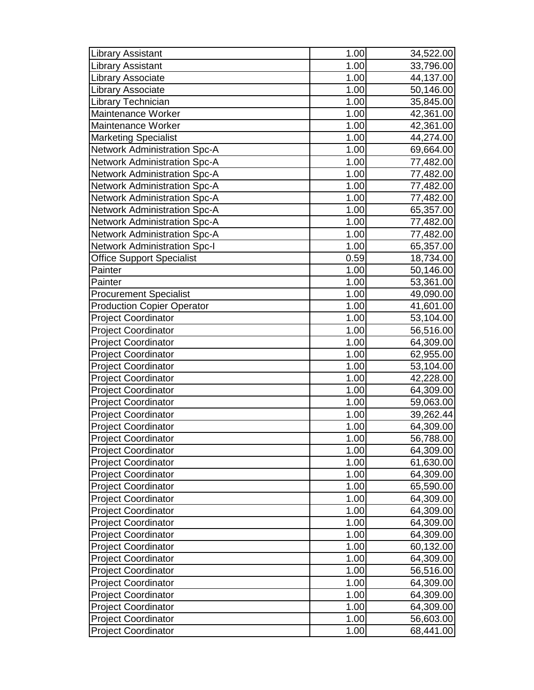| <b>Library Assistant</b>            | 1.00 | 34,522.00 |
|-------------------------------------|------|-----------|
| <b>Library Assistant</b>            | 1.00 | 33,796.00 |
| <b>Library Associate</b>            | 1.00 | 44,137.00 |
| <b>Library Associate</b>            | 1.00 | 50,146.00 |
| Library Technician                  | 1.00 | 35,845.00 |
| Maintenance Worker                  | 1.00 | 42,361.00 |
| Maintenance Worker                  | 1.00 | 42,361.00 |
| <b>Marketing Specialist</b>         | 1.00 | 44,274.00 |
| <b>Network Administration Spc-A</b> | 1.00 | 69,664.00 |
| <b>Network Administration Spc-A</b> | 1.00 | 77,482.00 |
| <b>Network Administration Spc-A</b> | 1.00 | 77,482.00 |
| <b>Network Administration Spc-A</b> | 1.00 | 77,482.00 |
| <b>Network Administration Spc-A</b> | 1.00 | 77,482.00 |
| <b>Network Administration Spc-A</b> | 1.00 | 65,357.00 |
| <b>Network Administration Spc-A</b> | 1.00 | 77,482.00 |
| <b>Network Administration Spc-A</b> | 1.00 | 77,482.00 |
| <b>Network Administration Spc-I</b> | 1.00 | 65,357.00 |
| <b>Office Support Specialist</b>    | 0.59 | 18,734.00 |
| Painter                             | 1.00 | 50,146.00 |
| Painter                             | 1.00 | 53,361.00 |
| <b>Procurement Specialist</b>       | 1.00 | 49,090.00 |
| <b>Production Copier Operator</b>   | 1.00 | 41,601.00 |
| <b>Project Coordinator</b>          | 1.00 | 53,104.00 |
| <b>Project Coordinator</b>          | 1.00 | 56,516.00 |
| <b>Project Coordinator</b>          | 1.00 | 64,309.00 |
| <b>Project Coordinator</b>          | 1.00 | 62,955.00 |
| <b>Project Coordinator</b>          | 1.00 | 53,104.00 |
| <b>Project Coordinator</b>          | 1.00 | 42,228.00 |
| <b>Project Coordinator</b>          | 1.00 | 64,309.00 |
| <b>Project Coordinator</b>          | 1.00 | 59,063.00 |
| <b>Project Coordinator</b>          | 1.00 | 39,262.44 |
| <b>Project Coordinator</b>          | 1.00 | 64,309.00 |
| <b>Project Coordinator</b>          | 1.00 | 56,788.00 |
| <b>Project Coordinator</b>          | 1.00 | 64,309.00 |
| <b>Project Coordinator</b>          | 1.00 | 61,630.00 |
| <b>Project Coordinator</b>          | 1.00 | 64,309.00 |
| <b>Project Coordinator</b>          | 1.00 | 65,590.00 |
| <b>Project Coordinator</b>          | 1.00 | 64,309.00 |
| <b>Project Coordinator</b>          | 1.00 | 64,309.00 |
| <b>Project Coordinator</b>          | 1.00 | 64,309.00 |
| <b>Project Coordinator</b>          | 1.00 | 64,309.00 |
| <b>Project Coordinator</b>          | 1.00 | 60,132.00 |
| <b>Project Coordinator</b>          | 1.00 | 64,309.00 |
| <b>Project Coordinator</b>          | 1.00 | 56,516.00 |
| <b>Project Coordinator</b>          | 1.00 | 64,309.00 |
| <b>Project Coordinator</b>          | 1.00 | 64,309.00 |
| <b>Project Coordinator</b>          | 1.00 | 64,309.00 |
| <b>Project Coordinator</b>          | 1.00 | 56,603.00 |
| <b>Project Coordinator</b>          | 1.00 | 68,441.00 |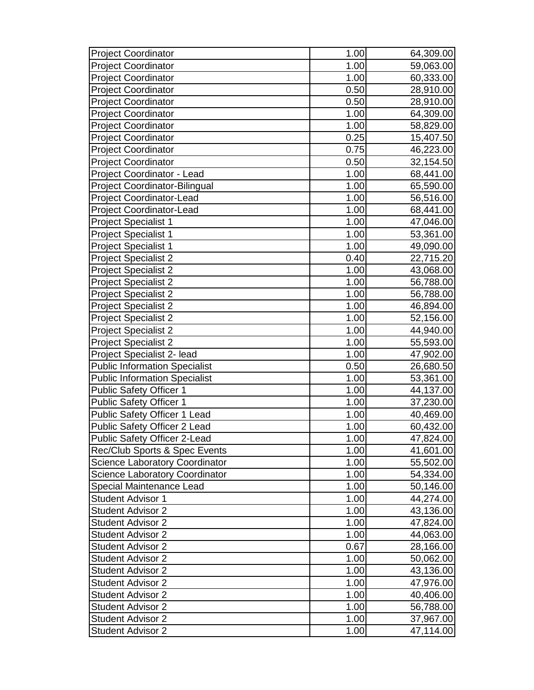| <b>Project Coordinator</b>            | 1.00              | 64,309.00 |
|---------------------------------------|-------------------|-----------|
| <b>Project Coordinator</b>            | 1.00              | 59,063.00 |
| <b>Project Coordinator</b>            | 1.00              | 60,333.00 |
| <b>Project Coordinator</b>            | 0.50              | 28,910.00 |
| <b>Project Coordinator</b>            | 0.50              | 28,910.00 |
| <b>Project Coordinator</b>            | 1.00              | 64,309.00 |
| <b>Project Coordinator</b>            | 1.00              | 58,829.00 |
| <b>Project Coordinator</b>            | 0.25              | 15,407.50 |
| <b>Project Coordinator</b>            | 0.75              | 46,223.00 |
| <b>Project Coordinator</b>            | 0.50              | 32,154.50 |
| Project Coordinator - Lead            | 1.00              | 68,441.00 |
| <b>Project Coordinator-Bilingual</b>  | 1.00              | 65,590.00 |
| <b>Project Coordinator-Lead</b>       | 1.00              | 56,516.00 |
| Project Coordinator-Lead              | 1.00              | 68,441.00 |
| <b>Project Specialist 1</b>           | 1.00              | 47,046.00 |
| <b>Project Specialist 1</b>           | 1.00              | 53,361.00 |
| <b>Project Specialist 1</b>           | $\overline{1}.00$ | 49,090.00 |
| <b>Project Specialist 2</b>           | 0.40              | 22,715.20 |
| <b>Project Specialist 2</b>           | 1.00              | 43,068.00 |
| <b>Project Specialist 2</b>           | 1.00              | 56,788.00 |
| <b>Project Specialist 2</b>           | 1.00              | 56,788.00 |
| <b>Project Specialist 2</b>           | 1.00              | 46,894.00 |
| <b>Project Specialist 2</b>           | 1.00              | 52,156.00 |
| <b>Project Specialist 2</b>           | 1.00              | 44,940.00 |
| <b>Project Specialist 2</b>           | 1.00              | 55,593.00 |
| Project Specialist 2- lead            | 1.00              | 47,902.00 |
| <b>Public Information Specialist</b>  | 0.50              | 26,680.50 |
| <b>Public Information Specialist</b>  | 1.00              | 53,361.00 |
| <b>Public Safety Officer 1</b>        | 1.00              | 44,137.00 |
| <b>Public Safety Officer 1</b>        | 1.00              | 37,230.00 |
| <b>Public Safety Officer 1 Lead</b>   | 1.00              | 40,469.00 |
| Public Safety Officer 2 Lead          | 1.00              | 60,432.00 |
| Public Safety Officer 2-Lead          | 1.00              | 47,824.00 |
| Rec/Club Sports & Spec Events         | 1.00              | 41,601.00 |
| <b>Science Laboratory Coordinator</b> | 1.00              | 55,502.00 |
| <b>Science Laboratory Coordinator</b> | 1.00              | 54,334.00 |
| Special Maintenance Lead              | 1.00              | 50,146.00 |
| <b>Student Advisor 1</b>              | 1.00              | 44,274.00 |
| <b>Student Advisor 2</b>              | 1.00              | 43,136.00 |
| <b>Student Advisor 2</b>              | 1.00              | 47,824.00 |
| <b>Student Advisor 2</b>              | 1.00              | 44,063.00 |
| <b>Student Advisor 2</b>              | 0.67              | 28,166.00 |
| <b>Student Advisor 2</b>              | 1.00              | 50,062.00 |
| <b>Student Advisor 2</b>              | 1.00              | 43,136.00 |
| <b>Student Advisor 2</b>              | 1.00              | 47,976.00 |
| <b>Student Advisor 2</b>              | 1.00              | 40,406.00 |
| <b>Student Advisor 2</b>              | 1.00              | 56,788.00 |
| <b>Student Advisor 2</b>              | 1.00              | 37,967.00 |
| <b>Student Advisor 2</b>              | 1.00              | 47,114.00 |